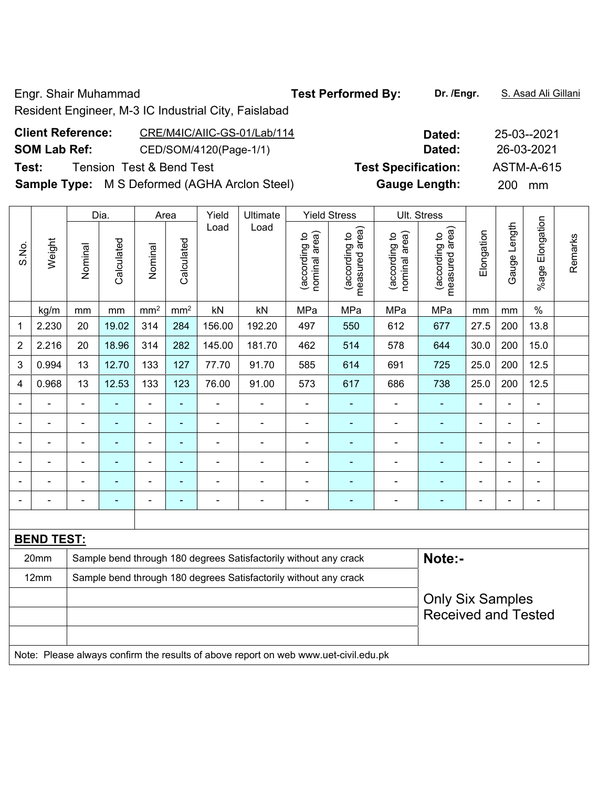Engr. Shair Muhammad **Test Performed By:** Dr. /Engr. **S. Asad Ali Gillani** 

Resident Engineer, M-3 IC Industrial City, Faislabad

| <b>Client Reference:</b> | CRE/M4IC/AIIC-GS-01/Lab/114                          | Dated:                     | 25-03--2021 |
|--------------------------|------------------------------------------------------|----------------------------|-------------|
| <b>SOM Lab Ref:</b>      | CED/SOM/4120(Page-1/1)                               | Dated:                     | 26-03-2021  |
| Test:                    | <b>Tension Test &amp; Bend Test</b>                  | <b>Test Specification:</b> | ASTM-A-615  |
|                          | <b>Sample Type:</b> M S Deformed (AGHA Arclon Steel) | <b>Gauge Length:</b>       | 200 l<br>mm |

|                |                   |                                                                  | Dia.           |                 | Area          | Yield  | Ultimate                                                                            |                                | <b>Yield Stress</b>             |                                | Ult. Stress                     |                |                |                          |         |
|----------------|-------------------|------------------------------------------------------------------|----------------|-----------------|---------------|--------|-------------------------------------------------------------------------------------|--------------------------------|---------------------------------|--------------------------------|---------------------------------|----------------|----------------|--------------------------|---------|
| S.No.          | Weight            | Nominal                                                          | Calculated     | Nominal         | Calculated    | Load   | Load                                                                                | nominal area)<br>(according to | measured area)<br>(according to | (according to<br>nominal area) | (according to<br>measured area) | Elongation     | Gauge Length   | Elongation<br>%age F     | Remarks |
|                | kg/m              | mm                                                               | mm             | mm <sup>2</sup> | $\text{mm}^2$ | kN     | kN                                                                                  | MPa                            | MPa                             | MPa                            | MPa                             | mm             | mm             | $\%$                     |         |
| 1              | 2.230             | 20                                                               | 19.02          | 314             | 284           | 156.00 | 192.20                                                                              | 497                            | 550                             | 612                            | 677                             | 27.5           | 200            | 13.8                     |         |
| 2              | 2.216             | 20                                                               | 18.96          | 314             | 282           | 145.00 | 181.70                                                                              | 462                            | 514                             | 578                            | 644                             | 30.0           | 200            | 15.0                     |         |
| 3              | 0.994             | 13                                                               | 12.70          | 133             | 127           | 77.70  | 91.70                                                                               | 585                            | 614                             | 691                            | 725                             | 25.0           | 200            | 12.5                     |         |
| 4              | 0.968             | 13                                                               | 12.53          | 133             | 123           | 76.00  | 91.00                                                                               | 573                            | 617                             | 686                            | 738                             | 25.0           | 200            | 12.5                     |         |
|                |                   |                                                                  |                | ä,              | ä,            |        |                                                                                     |                                |                                 |                                |                                 |                |                |                          |         |
|                |                   |                                                                  |                | Ě.              | ä,            | ÷      |                                                                                     | ä,                             | $\blacksquare$                  | $\blacksquare$                 | ÷                               |                | L,             | $\blacksquare$           |         |
| $\blacksquare$ |                   | $\blacksquare$                                                   | $\blacksquare$ | $\blacksquare$  | ۰             | ÷      | $\overline{\phantom{a}}$                                                            | Ē,                             | ٠                               | $\blacksquare$                 | $\overline{\phantom{0}}$        | $\blacksquare$ | L,             | $\blacksquare$           |         |
|                |                   | $\blacksquare$                                                   |                | $\blacksquare$  | ÷             |        |                                                                                     |                                |                                 | $\blacksquare$                 | ۰                               | $\blacksquare$ | ÷              | $\overline{\phantom{a}}$ |         |
|                |                   | $\blacksquare$                                                   | $\blacksquare$ | $\blacksquare$  | ٠             | ä,     | $\overline{\phantom{a}}$                                                            | $\blacksquare$                 | $\blacksquare$                  | $\blacksquare$                 | $\blacksquare$                  | $\blacksquare$ | $\blacksquare$ | $\blacksquare$           |         |
|                |                   |                                                                  |                | $\blacksquare$  | ۰             |        | Ē,                                                                                  | Ē,                             | $\overline{a}$                  |                                | ۰                               |                | Ē,             | $\blacksquare$           |         |
|                |                   |                                                                  |                |                 |               |        |                                                                                     |                                |                                 |                                |                                 |                |                |                          |         |
|                | <b>BEND TEST:</b> |                                                                  |                |                 |               |        |                                                                                     |                                |                                 |                                |                                 |                |                |                          |         |
|                | 20mm              |                                                                  |                |                 |               |        | Sample bend through 180 degrees Satisfactorily without any crack                    |                                |                                 |                                | Note:-                          |                |                |                          |         |
|                | 12mm              | Sample bend through 180 degrees Satisfactorily without any crack |                |                 |               |        |                                                                                     |                                |                                 |                                |                                 |                |                |                          |         |
|                |                   |                                                                  |                |                 |               |        |                                                                                     |                                |                                 |                                | <b>Only Six Samples</b>         |                |                |                          |         |
|                |                   |                                                                  |                |                 |               |        |                                                                                     |                                |                                 |                                | <b>Received and Tested</b>      |                |                |                          |         |
|                |                   |                                                                  |                |                 |               |        |                                                                                     |                                |                                 |                                |                                 |                |                |                          |         |
|                |                   |                                                                  |                |                 |               |        | Note: Please always confirm the results of above report on web www.uet-civil.edu.pk |                                |                                 |                                |                                 |                |                |                          |         |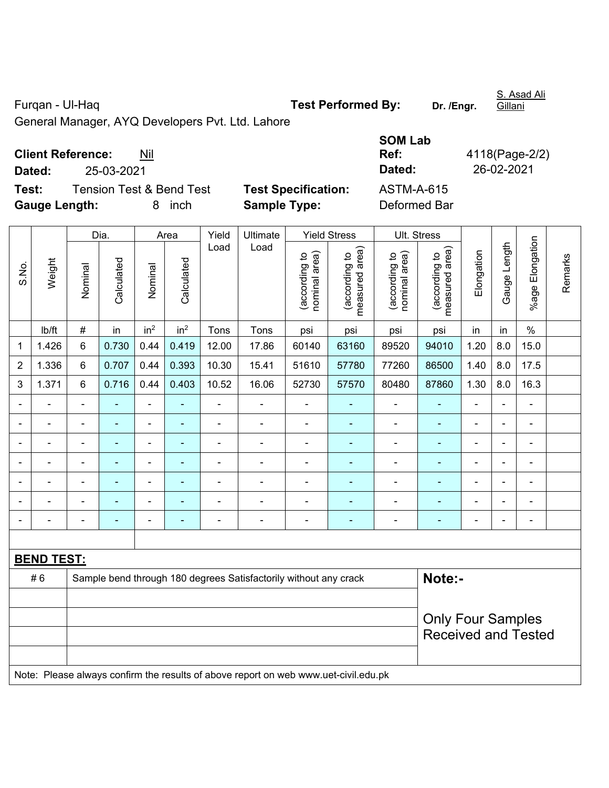Furqan - Ul-Haq **Test Performed By:** Dr. /Engr.

S. Asad Ali Gillani

General Manager, AYQ Developers Pvt. Ltd. Lahore

## **Client Reference:** Nil

**Dated:** 25-03-2021 **Dated:** 26-02-2021

**Test:** Tension Test & Bend Test **Test Specification: Gauge Length:** 8 inch **Sample Type:** Deformed Bar

| <b>SOM Lab</b> |                |
|----------------|----------------|
| Ref:           | 4118(Page-2/2) |
| Dated:         | 26-02-2021     |
| ASTM-A-615     |                |
| Deformed Bar   |                |

|                |                   |                | Dia.           |                 | Area                     | Yield<br>Ultimate |                                                                                     | <b>Yield Stress</b>            |                                 | <b>Ult. Stress</b>             |                                 |                          |                          |                 |         |  |
|----------------|-------------------|----------------|----------------|-----------------|--------------------------|-------------------|-------------------------------------------------------------------------------------|--------------------------------|---------------------------------|--------------------------------|---------------------------------|--------------------------|--------------------------|-----------------|---------|--|
| S.No.          | Weight            | Nominal        | Calculated     | Nominal         | Calculated               | Load              | Load                                                                                | nominal area)<br>(according to | (according to<br>measured area) | nominal area)<br>(according to | (according to<br>measured area) | Elongation               | Gauge Length             | %age Elongation | Remarks |  |
|                | Ib/ft             | $\#$           | in             | in <sup>2</sup> | in <sup>2</sup>          | Tons              | Tons                                                                                | psi                            | psi                             | psi                            | psi                             | in                       | in                       | $\%$            |         |  |
| 1              | 1.426             | 6              | 0.730          | 0.44            | 0.419                    | 12.00             | 17.86                                                                               | 60140                          | 63160                           | 89520                          | 94010                           | 1.20                     | 8.0                      | 15.0            |         |  |
| $\overline{2}$ | 1.336             | 6              | 0.707          | 0.44            | 0.393                    | 10.30             | 15.41                                                                               | 51610                          | 57780                           | 77260                          | 86500                           | 1.40                     | 8.0                      | 17.5            |         |  |
| 3              | 1.371             | 6              | 0.716          | 0.44            | 0.403                    | 10.52             | 16.06                                                                               | 52730                          | 57570                           | 80480                          | 87860                           | 1.30                     | 8.0                      | 16.3            |         |  |
|                |                   |                |                | ÷               |                          |                   |                                                                                     |                                |                                 |                                |                                 | $\blacksquare$           |                          |                 |         |  |
|                |                   |                |                | ÷,              |                          | $\blacksquare$    | $\blacksquare$                                                                      | $\blacksquare$                 | ٠                               | $\blacksquare$                 |                                 | Ē,                       | Ē,                       | $\blacksquare$  |         |  |
|                |                   |                |                | ۰               | $\overline{\phantom{0}}$ |                   | $\blacksquare$                                                                      | $\overline{a}$                 | $\overline{\phantom{0}}$        | $\overline{a}$                 |                                 | Ē,                       | $\overline{\phantom{0}}$ |                 |         |  |
|                |                   | $\blacksquare$ | $\blacksquare$ | ÷,              | ٠                        | $\blacksquare$    | $\blacksquare$                                                                      | $\overline{\phantom{a}}$       | ٠                               | ÷                              | $\blacksquare$                  | $\blacksquare$           | i.                       |                 |         |  |
|                | $\blacksquare$    | $\blacksquare$ | $\blacksquare$ | ÷,              | ۳                        | $\blacksquare$    | $\blacksquare$                                                                      | $\blacksquare$                 | $\blacksquare$                  | $\blacksquare$                 | $\blacksquare$                  | ä,                       | ÷                        | ä,              |         |  |
|                |                   |                |                | ÷               |                          |                   | $\blacksquare$                                                                      | ä,                             | $\blacksquare$                  | ÷                              |                                 |                          |                          | ä,              |         |  |
|                |                   |                |                |                 | -                        |                   |                                                                                     | -                              | $\blacksquare$                  |                                |                                 | $\overline{\phantom{0}}$ |                          | $\overline{a}$  |         |  |
|                |                   |                |                |                 |                          |                   |                                                                                     |                                |                                 |                                |                                 |                          |                          |                 |         |  |
|                | <b>BEND TEST:</b> |                |                |                 |                          |                   |                                                                                     |                                |                                 |                                |                                 |                          |                          |                 |         |  |
|                | #6                |                |                |                 |                          |                   | Sample bend through 180 degrees Satisfactorily without any crack                    |                                |                                 |                                | Note:-                          |                          |                          |                 |         |  |
|                |                   |                |                |                 |                          |                   |                                                                                     |                                |                                 |                                |                                 |                          |                          |                 |         |  |
|                |                   |                |                |                 |                          |                   |                                                                                     |                                |                                 |                                | <b>Only Four Samples</b>        |                          |                          |                 |         |  |
|                |                   |                |                |                 |                          |                   |                                                                                     |                                |                                 |                                | <b>Received and Tested</b>      |                          |                          |                 |         |  |
|                |                   |                |                |                 |                          |                   |                                                                                     |                                |                                 |                                |                                 |                          |                          |                 |         |  |
|                |                   |                |                |                 |                          |                   | Note: Please always confirm the results of above report on web www.uet-civil.edu.pk |                                |                                 |                                |                                 |                          |                          |                 |         |  |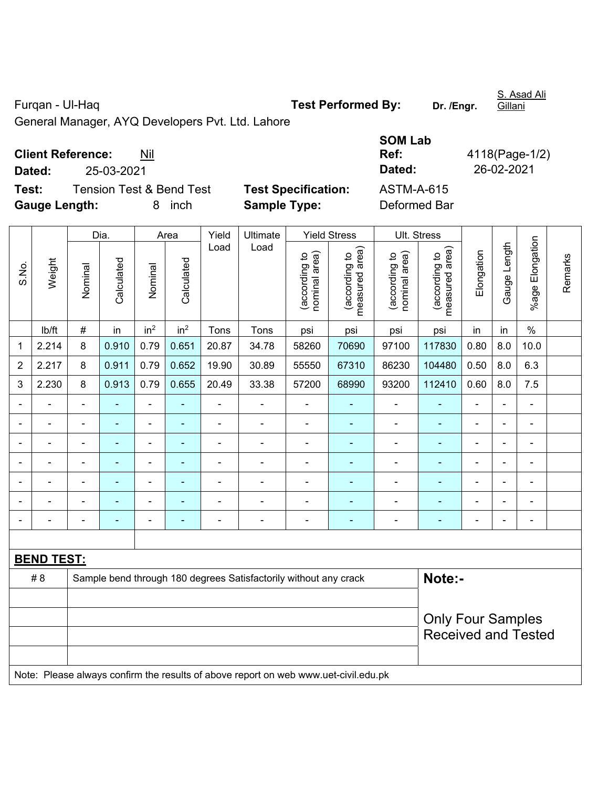Furqan - Ul-Haq **Test Performed By:** Dr. /Engr.

S. Asad Ali Gillani

General Manager, AYQ Developers Pvt. Ltd. Lahore

| <b>Client Reference:</b> | Nil |
|--------------------------|-----|
|--------------------------|-----|

**Test:** Tension Test & Bend Test **Test Specification: Gauge Length:** 8 inch **Sample Type:** Deformed Bar

|               |                          |                                     |                            | <b>SOM Lab</b> |                |
|---------------|--------------------------|-------------------------------------|----------------------------|----------------|----------------|
|               | <b>Client Reference:</b> | Nil                                 |                            | Ref:           | 4118(Page-1/2) |
| Dated:        | 25-03-2021               |                                     |                            | Dated:         | 26-02-2021     |
| Test:         |                          | <b>Tension Test &amp; Bend Test</b> | <b>Test Specification:</b> | ASTM-A-615     |                |
| Gauge Length: |                          | - inch                              | Sample Type:               | Deformed Bar   |                |

|                |                   |                | Dia.           |                 | Area            | Yield<br>Ultimate        |                                                                                     | <b>Yield Stress</b>            |                                 | Ult. Stress                    |                                 |                |                |                     |         |  |
|----------------|-------------------|----------------|----------------|-----------------|-----------------|--------------------------|-------------------------------------------------------------------------------------|--------------------------------|---------------------------------|--------------------------------|---------------------------------|----------------|----------------|---------------------|---------|--|
| S.No.          | Weight            | Nominal        | Calculated     | Nominal         | Calculated      | Load                     | Load                                                                                | (according to<br>nominal area) | (according to<br>measured area) | nominal area)<br>(according to | (according to<br>measured area) | Elongation     | Gauge Length   | Elongation<br>%agel | Remarks |  |
|                | lb/ft             | $\#$           | in             | in <sup>2</sup> | in <sup>2</sup> | Tons                     | Tons                                                                                | psi                            | psi                             | psi                            | psi                             | in             | in             | $\%$                |         |  |
| 1              | 2.214             | 8              | 0.910          | 0.79            | 0.651           | 20.87                    | 34.78                                                                               | 58260                          | 70690                           | 97100                          | 117830                          | 0.80           | 8.0            | 10.0                |         |  |
| $\overline{2}$ | 2.217             | 8              | 0.911          | 0.79            | 0.652           | 19.90                    | 30.89                                                                               | 55550                          | 67310                           | 86230                          | 104480                          | 0.50           | 8.0            | 6.3                 |         |  |
| 3              | 2.230             | 8              | 0.913          | 0.79            | 0.655           | 20.49                    | 33.38                                                                               | 57200                          | 68990                           | 93200                          | 112410                          | 0.60           | 8.0            | 7.5                 |         |  |
| $\blacksquare$ | $\blacksquare$    | $\blacksquare$ | ÷,             | $\blacksquare$  | ä,              | $\blacksquare$           | ä,                                                                                  | $\blacksquare$                 |                                 | $\blacksquare$                 | $\blacksquare$                  | $\blacksquare$ | $\blacksquare$ | $\blacksquare$      |         |  |
| $\blacksquare$ | $\frac{1}{2}$     | $\blacksquare$ | $\blacksquare$ | ÷,              | $\blacksquare$  | $\overline{\phantom{a}}$ | $\overline{\phantom{a}}$                                                            | $\blacksquare$                 | $\blacksquare$                  | $\blacksquare$                 | $\blacksquare$                  | $\blacksquare$ | $\blacksquare$ | ÷,                  |         |  |
|                | $\blacksquare$    | $\blacksquare$ | ÷,             | $\blacksquare$  | ٠               | $\blacksquare$           | $\overline{\phantom{0}}$                                                            | $\blacksquare$                 | $\blacksquare$                  | $\blacksquare$                 | $\blacksquare$                  | $\blacksquare$ |                | $\blacksquare$      |         |  |
|                | $\blacksquare$    |                | ÷,             | $\blacksquare$  |                 | Ē,                       | Ē,                                                                                  | $\blacksquare$                 |                                 | $\blacksquare$                 | ÷,                              | ÷              |                | $\blacksquare$      |         |  |
|                |                   |                |                |                 |                 |                          |                                                                                     |                                |                                 |                                |                                 |                |                |                     |         |  |
|                |                   |                |                |                 |                 |                          |                                                                                     | $\blacksquare$                 |                                 |                                |                                 |                |                |                     |         |  |
| $\blacksquare$ | $\blacksquare$    | ä,             | ۰              | $\blacksquare$  |                 | Ē,                       | Ē,                                                                                  | $\overline{a}$                 | $\blacksquare$                  | ÷                              | $\blacksquare$                  | ÷              | $\blacksquare$ | $\blacksquare$      |         |  |
|                |                   |                |                |                 |                 |                          |                                                                                     |                                |                                 |                                |                                 |                |                |                     |         |  |
|                | <b>BEND TEST:</b> |                |                |                 |                 |                          |                                                                                     |                                |                                 |                                |                                 |                |                |                     |         |  |
|                | # 8               |                |                |                 |                 |                          | Sample bend through 180 degrees Satisfactorily without any crack                    |                                |                                 |                                | Note:-                          |                |                |                     |         |  |
|                |                   |                |                |                 |                 |                          |                                                                                     |                                |                                 |                                |                                 |                |                |                     |         |  |
|                |                   |                |                |                 |                 |                          |                                                                                     |                                |                                 |                                | <b>Only Four Samples</b>        |                |                |                     |         |  |
|                |                   |                |                |                 |                 |                          |                                                                                     |                                |                                 |                                | <b>Received and Tested</b>      |                |                |                     |         |  |
|                |                   |                |                |                 |                 |                          |                                                                                     |                                |                                 |                                |                                 |                |                |                     |         |  |
|                |                   |                |                |                 |                 |                          | Note: Please always confirm the results of above report on web www.uet-civil.edu.pk |                                |                                 |                                |                                 |                |                |                     |         |  |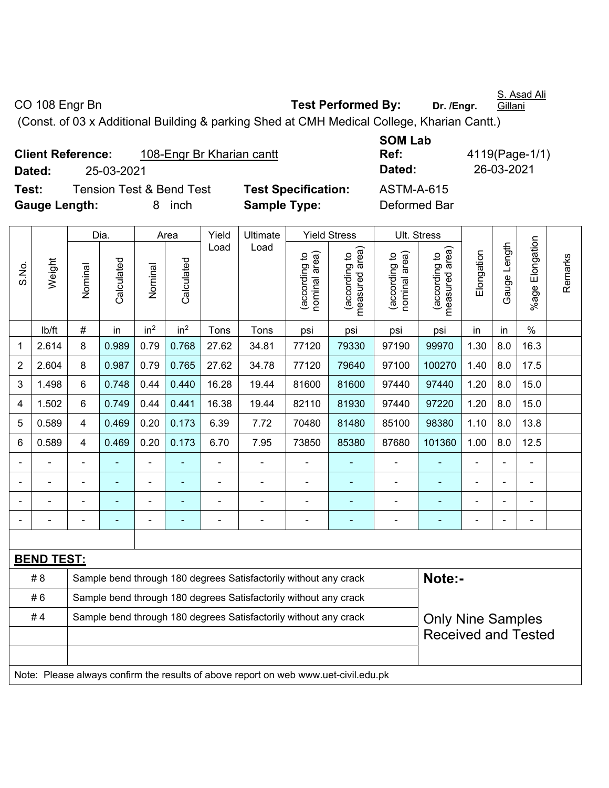S. Asad Ali Gillani

CO 108 Engr Bn **Test Performed By:** Dr. /Engr.

(Const. of 03 x Additional Building & parking Shed at CMH Medical College, Kharian Cantt.)

|               | <b>Client Reference:</b> | 108-Engr Br Kharian cantt           |                 |
|---------------|--------------------------|-------------------------------------|-----------------|
| Dated:        | 25-03-2021               |                                     |                 |
| Test:         |                          | <b>Tension Test &amp; Bend Test</b> | <b>Test Spe</b> |
| Gauge Length: |                          | 8 inch                              | Sample 1        |

**SOM Lab Ref:** 4119(Page-1/1) **Dated:** 25-03-2021 **Dated:** 26-03-2021 **Testigs: ASTM-A-615 Fype: Deformed Bar** 

|                |                   |                         | Dia.       |                 | Area            | Yield          | Ultimate                                                                            |                                | <b>Yield Stress</b>             |                                | Ult. Stress                     |                |                |                          |         |
|----------------|-------------------|-------------------------|------------|-----------------|-----------------|----------------|-------------------------------------------------------------------------------------|--------------------------------|---------------------------------|--------------------------------|---------------------------------|----------------|----------------|--------------------------|---------|
| S.No.          | Weight            | Nominal                 | Calculated | Nominal         | Calculated      | Load           | Load                                                                                | (according to<br>nominal area) | (according to<br>measured area) | nominal area)<br>(according to | measured area)<br>(according to | Elongation     | Gauge Length   | %age Elongation          | Remarks |
|                | Ib/ft             | $\#$                    | in         | in <sup>2</sup> | in <sup>2</sup> | Tons           | Tons                                                                                | psi                            | psi                             | psi                            | psi                             | in             | in             | $\%$                     |         |
| 1              | 2.614             | 8                       | 0.989      | 0.79            | 0.768           | 27.62          | 34.81                                                                               | 77120                          | 79330                           | 97190                          | 99970                           | 1.30           | 8.0            | 16.3                     |         |
| 2              | 2.604             | 8                       | 0.987      | 0.79            | 0.765           | 27.62          | 34.78                                                                               | 77120                          | 79640                           | 97100                          | 100270                          | 1.40           | 8.0            | 17.5                     |         |
| 3              | 1.498             | $\,6\,$                 | 0.748      | 0.44            | 0.440           | 16.28          | 19.44                                                                               | 81600                          | 81600                           | 97440                          | 97440                           | 1.20           | 8.0            | 15.0                     |         |
| 4              | 1.502             | 6                       | 0.749      | 0.44            | 0.441           | 16.38          | 19.44                                                                               | 82110                          | 81930                           | 97440                          | 97220                           | 1.20           | 8.0            | 15.0                     |         |
| 5              | 0.589             | $\overline{\mathbf{4}}$ | 0.469      | 0.20            | 0.173           | 6.39           | 7.72                                                                                | 70480                          | 81480                           | 85100                          | 98380                           | 1.10           | 8.0            | 13.8                     |         |
| 6              | 0.589             | $\overline{4}$          | 0.469      | 0.20            | 0.173           | 6.70           | 7.95                                                                                | 73850                          | 85380                           | 87680                          | 101360                          | 1.00           | 8.0            | 12.5                     |         |
|                |                   | $\blacksquare$          |            |                 |                 |                |                                                                                     | $\blacksquare$                 |                                 | ۰                              |                                 | ۰              |                | $\blacksquare$           |         |
|                |                   |                         |            |                 |                 |                |                                                                                     | $\blacksquare$                 |                                 | ÷                              |                                 | $\blacksquare$ |                |                          |         |
|                |                   | $\blacksquare$          |            |                 |                 |                |                                                                                     |                                | ۰                               | ÷                              | ۰                               |                | $\blacksquare$ | $\blacksquare$           |         |
| $\blacksquare$ | $\blacksquare$    | $\blacksquare$          | ÷          | ÷               | $\blacksquare$  | $\blacksquare$ | $\overline{\phantom{a}}$                                                            | $\blacksquare$                 | $\blacksquare$                  | ۰                              | $\blacksquare$                  | $\blacksquare$ | $\blacksquare$ | $\overline{\phantom{a}}$ |         |
|                |                   |                         |            |                 |                 |                |                                                                                     |                                |                                 |                                |                                 |                |                |                          |         |
|                | <b>BEND TEST:</b> |                         |            |                 |                 |                |                                                                                     |                                |                                 |                                |                                 |                |                |                          |         |
|                | # 8               |                         |            |                 |                 |                | Sample bend through 180 degrees Satisfactorily without any crack                    |                                |                                 |                                | Note:-                          |                |                |                          |         |
|                | #6                |                         |            |                 |                 |                | Sample bend through 180 degrees Satisfactorily without any crack                    |                                |                                 |                                |                                 |                |                |                          |         |
|                | #4                |                         |            |                 |                 |                | Sample bend through 180 degrees Satisfactorily without any crack                    |                                |                                 |                                | <b>Only Nine Samples</b>        |                |                |                          |         |
|                |                   |                         |            |                 |                 |                |                                                                                     |                                |                                 |                                | <b>Received and Tested</b>      |                |                |                          |         |
|                |                   |                         |            |                 |                 |                |                                                                                     |                                |                                 |                                |                                 |                |                |                          |         |
|                |                   |                         |            |                 |                 |                | Note: Please always confirm the results of above report on web www.uet-civil.edu.pk |                                |                                 |                                |                                 |                |                |                          |         |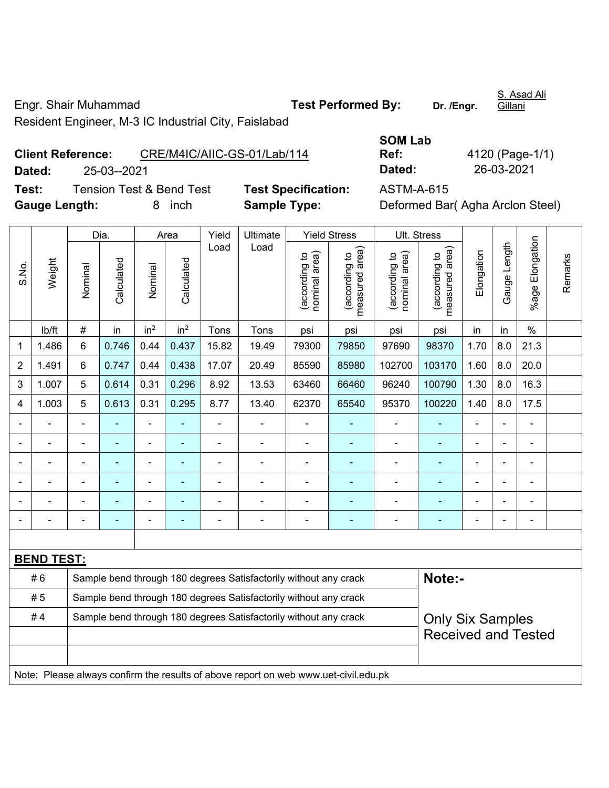Resident Engineer, M-3 IC Industrial City, Faislabad

| <b>Client Reference:</b> |             | CRE/M4IC/AIIC-GS-01/Lab/114 | Ref:   | 4120 (Page-1 |
|--------------------------|-------------|-----------------------------|--------|--------------|
| Dated:                   | 25-03--2021 |                             | Dated: | 26-03-2021   |

**Test:** Tension Test & Bend Test **Test Specification:** ASTM-A-615 **Gauge Length:** 8 inch **Sample Type:** Deformed Bar( Agha Arclon Steel)

| <b>SOM Lab</b> |                 |
|----------------|-----------------|
| Ref:           | 4120 (Page-1/1) |
| Dated:         | 26-03-2021      |

|                |                   | Dia.           |                | Area                     | Yield           | Ultimate       |                                                                                     | <b>Yield Stress</b>            |                                             | Ult. Stress                    |                                 |                |                          |                              |         |
|----------------|-------------------|----------------|----------------|--------------------------|-----------------|----------------|-------------------------------------------------------------------------------------|--------------------------------|---------------------------------------------|--------------------------------|---------------------------------|----------------|--------------------------|------------------------------|---------|
| S.No.          | Weight            | Nominal        | Calculated     | Nominal                  | Calculated      | Load           | Load                                                                                | nominal area)<br>(according to | (according to<br>neasured area)<br>measured | nominal area)<br>(according to | (according to<br>measured area) | Elongation     | Gauge Length             | %age Elongation              | Remarks |
|                | lb/ft             | $\#$           | in             | in <sup>2</sup>          | in <sup>2</sup> | Tons           | Tons                                                                                | psi                            | psi                                         | psi                            | psi                             | in             | in                       | $\frac{0}{0}$                |         |
| $\mathbf{1}$   | 1.486             | 6              | 0.746          | 0.44                     | 0.437           | 15.82          | 19.49                                                                               | 79300                          | 79850                                       | 97690                          | 98370                           | 1.70           | 8.0                      | 21.3                         |         |
| $\overline{2}$ | 1.491             | 6              | 0.747          | 0.44                     | 0.438           | 17.07          | 20.49                                                                               | 85590                          | 85980                                       | 102700                         | 103170                          | 1.60           | 8.0                      | 20.0                         |         |
| 3              | 1.007             | 5              | 0.614          | 0.31                     | 0.296           | 8.92           | 13.53                                                                               | 63460                          | 66460                                       | 96240                          | 100790                          | 1.30           | 8.0                      | 16.3                         |         |
| $\overline{4}$ | 1.003             | 5              | 0.613          | 0.31                     | 0.295           | 8.77           | 13.40                                                                               | 62370                          | 65540                                       | 95370                          | 100220                          | 1.40           | 8.0                      | 17.5                         |         |
|                | $\blacksquare$    | $\blacksquare$ | $\blacksquare$ | ÷,                       |                 | $\blacksquare$ | ÷                                                                                   | $\blacksquare$                 | $\blacksquare$                              | $\blacksquare$                 | $\blacksquare$                  | $\blacksquare$ | $\overline{\phantom{a}}$ | ÷,                           |         |
|                | $\blacksquare$    | $\blacksquare$ | $\blacksquare$ | $\blacksquare$           |                 | ä,             | ä,                                                                                  | ä,                             | $\blacksquare$                              | $\blacksquare$                 | $\blacksquare$                  | ÷              | $\blacksquare$           | $\blacksquare$               |         |
|                |                   |                | $\blacksquare$ | $\blacksquare$           |                 |                | ä,                                                                                  | $\blacksquare$                 | $\blacksquare$                              | $\blacksquare$                 | ä,                              |                |                          | $\blacksquare$               |         |
|                |                   |                |                | $\overline{\phantom{0}}$ |                 |                |                                                                                     |                                |                                             | ä,                             | $\blacksquare$                  |                | $\blacksquare$           | $\blacksquare$               |         |
|                |                   |                |                | $\blacksquare$           |                 |                |                                                                                     |                                |                                             | ÷                              | $\blacksquare$                  |                | $\blacksquare$           | $\qquad \qquad \blacksquare$ |         |
|                |                   | ÷              | $\blacksquare$ | $\blacksquare$           |                 |                | ä,                                                                                  | $\blacksquare$                 | $\blacksquare$                              | L,                             | $\blacksquare$                  | $\blacksquare$ | ä,                       | ÷,                           |         |
|                |                   |                |                |                          |                 |                |                                                                                     |                                |                                             |                                |                                 |                |                          |                              |         |
|                | <b>BEND TEST:</b> |                |                |                          |                 |                |                                                                                     |                                |                                             |                                |                                 |                |                          |                              |         |
|                | #6                |                |                |                          |                 |                | Sample bend through 180 degrees Satisfactorily without any crack                    |                                |                                             |                                | Note:-                          |                |                          |                              |         |
|                | # 5               |                |                |                          |                 |                | Sample bend through 180 degrees Satisfactorily without any crack                    |                                |                                             |                                |                                 |                |                          |                              |         |
|                | #4                |                |                |                          |                 |                | Sample bend through 180 degrees Satisfactorily without any crack                    |                                |                                             |                                | <b>Only Six Samples</b>         |                |                          |                              |         |
|                |                   |                |                |                          |                 |                |                                                                                     |                                |                                             |                                | <b>Received and Tested</b>      |                |                          |                              |         |
|                |                   |                |                |                          |                 |                |                                                                                     |                                |                                             |                                |                                 |                |                          |                              |         |
|                |                   |                |                |                          |                 |                | Note: Please always confirm the results of above report on web www.uet-civil.edu.pk |                                |                                             |                                |                                 |                |                          |                              |         |

S. Asad Ali Gillani

Engr. Shair Muhammad **Test Performed By:** Dr. /Engr.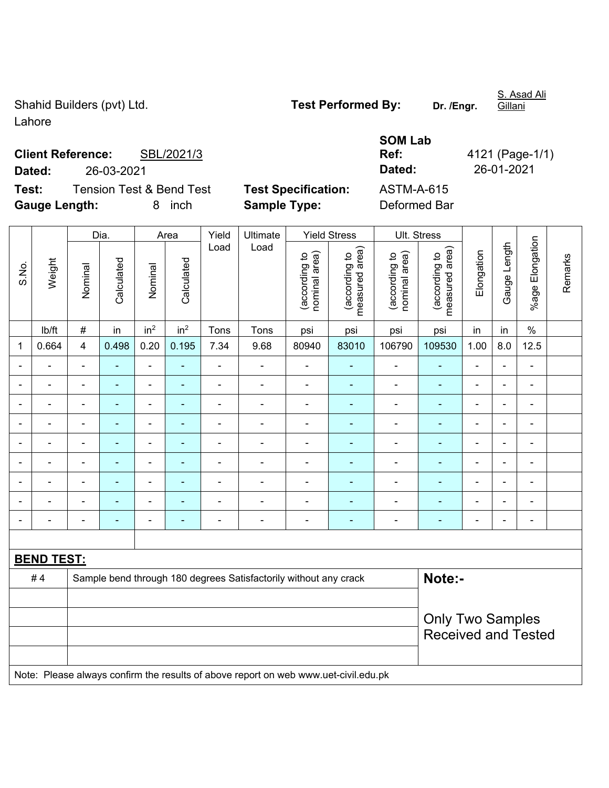Shahid Builders (pvt) Ltd. **Test Performed By:** Dr. /Engr. Lahore

S. Asad Ali Gillani

**Client Reference:** SBL/2021/3 **Dated:** 26-03-2021 **Dated:** 26-01-2021 Test: Tension Test & Bend Test Test Specification:

**Gauge Length:** 8 inch **Sample Type:** Deformed Bar

| SOM Lab<br>Ref:<br><b>Dated:</b>   | 4121 (Page-1/1)<br>26-01-2021 |
|------------------------------------|-------------------------------|
| ASTM-A-615<br>n - f -  - - - 1 n - |                               |

|                   |                                                                                     | Dia.                                                             |                | Area                         |                 | Yield          | Ultimate       | <b>Yield Stress</b>            |                                 | Ult. Stress                    |                                 |                         |                |                              |         |  |
|-------------------|-------------------------------------------------------------------------------------|------------------------------------------------------------------|----------------|------------------------------|-----------------|----------------|----------------|--------------------------------|---------------------------------|--------------------------------|---------------------------------|-------------------------|----------------|------------------------------|---------|--|
| S.No.             | Weight                                                                              | Nominal                                                          | Calculated     | Nominal                      | Calculated      | Load           | Load           | nominal area)<br>(according to | (according to<br>measured area) | nominal area)<br>(according to | (according to<br>measured area) | Elongation              | Gauge Length   | %age Elongation              | Remarks |  |
|                   | lb/ft                                                                               | $\#$                                                             | in             | in <sup>2</sup>              | in <sup>2</sup> | Tons           | Tons           | psi                            | psi                             | psi                            | psi                             | in                      | in             | $\%$                         |         |  |
| 1                 | 0.664                                                                               | 4                                                                | 0.498          | 0.20                         | 0.195           | 7.34           | 9.68           | 80940                          | 83010                           | 106790                         | 109530                          | 1.00                    | 8.0            | 12.5                         |         |  |
|                   |                                                                                     | $\blacksquare$                                                   | $\blacksquare$ | $\blacksquare$               | ٠               | $\blacksquare$ | ÷              | $\blacksquare$                 | $\blacksquare$                  | $\blacksquare$                 | ÷                               | L.                      | $\blacksquare$ | ÷,                           |         |  |
|                   |                                                                                     | Ē,                                                               | ä,             | ä,                           |                 | $\blacksquare$ | $\blacksquare$ | ä,                             | $\blacksquare$                  | $\blacksquare$                 | $\blacksquare$                  | Ē,                      |                | $\blacksquare$               |         |  |
|                   |                                                                                     |                                                                  | ۰              | $\overline{\phantom{0}}$     |                 | $\blacksquare$ | $\blacksquare$ | $\blacksquare$                 | ۰                               | $\blacksquare$                 | ٠                               | $\blacksquare$          |                | $\overline{\phantom{0}}$     |         |  |
| $\blacksquare$    |                                                                                     | $\blacksquare$                                                   | $\blacksquare$ | $\blacksquare$               |                 | $\blacksquare$ | $\blacksquare$ | ä,                             | $\blacksquare$                  | $\overline{\phantom{0}}$       | ÷                               | $\blacksquare$          |                | $\blacksquare$               |         |  |
| $\blacksquare$    |                                                                                     | Ē,                                                               | ÷              | ÷                            |                 | $\blacksquare$ | $\blacksquare$ | L,                             | ۰                               | $\blacksquare$                 | ٠                               | Ē,                      | $\blacksquare$ | $\blacksquare$               |         |  |
| $\blacksquare$    |                                                                                     | $\blacksquare$                                                   | $\blacksquare$ | $\qquad \qquad \blacksquare$ | ٠               | $\blacksquare$ | ÷              | ä,                             | $\blacksquare$                  | ÷                              | $\blacksquare$                  | $\blacksquare$          | ۰              | $\qquad \qquad \blacksquare$ |         |  |
|                   |                                                                                     | ٠                                                                | $\blacksquare$ | $\overline{\phantom{a}}$     |                 | $\blacksquare$ | $\blacksquare$ | ä,                             | ۰                               | $\overline{\phantom{0}}$       | ٠                               | L,                      |                | $\blacksquare$               |         |  |
|                   |                                                                                     |                                                                  |                | $\blacksquare$               |                 | $\blacksquare$ |                | $\blacksquare$                 | $\blacksquare$                  |                                |                                 | $\blacksquare$          |                | $\blacksquare$               |         |  |
|                   |                                                                                     | $\blacksquare$                                                   |                | ÷                            |                 | $\blacksquare$ |                | Ē,                             | $\blacksquare$                  | $\overline{\phantom{0}}$       |                                 |                         |                | $\blacksquare$               |         |  |
|                   |                                                                                     |                                                                  |                |                              |                 |                |                |                                |                                 |                                |                                 |                         |                |                              |         |  |
| <b>BEND TEST:</b> |                                                                                     |                                                                  |                |                              |                 |                |                |                                |                                 |                                |                                 |                         |                |                              |         |  |
|                   | #4                                                                                  | Sample bend through 180 degrees Satisfactorily without any crack |                |                              |                 |                |                |                                |                                 |                                |                                 | Note:-                  |                |                              |         |  |
|                   |                                                                                     |                                                                  |                |                              |                 |                |                |                                |                                 |                                |                                 |                         |                |                              |         |  |
|                   |                                                                                     |                                                                  |                |                              |                 |                |                |                                |                                 |                                |                                 | <b>Only Two Samples</b> |                |                              |         |  |
|                   |                                                                                     |                                                                  |                |                              |                 |                |                |                                |                                 |                                | <b>Received and Tested</b>      |                         |                |                              |         |  |
|                   |                                                                                     |                                                                  |                |                              |                 |                |                |                                |                                 |                                |                                 |                         |                |                              |         |  |
|                   | Note: Please always confirm the results of above report on web www.uet-civil.edu.pk |                                                                  |                |                              |                 |                |                |                                |                                 |                                |                                 |                         |                |                              |         |  |